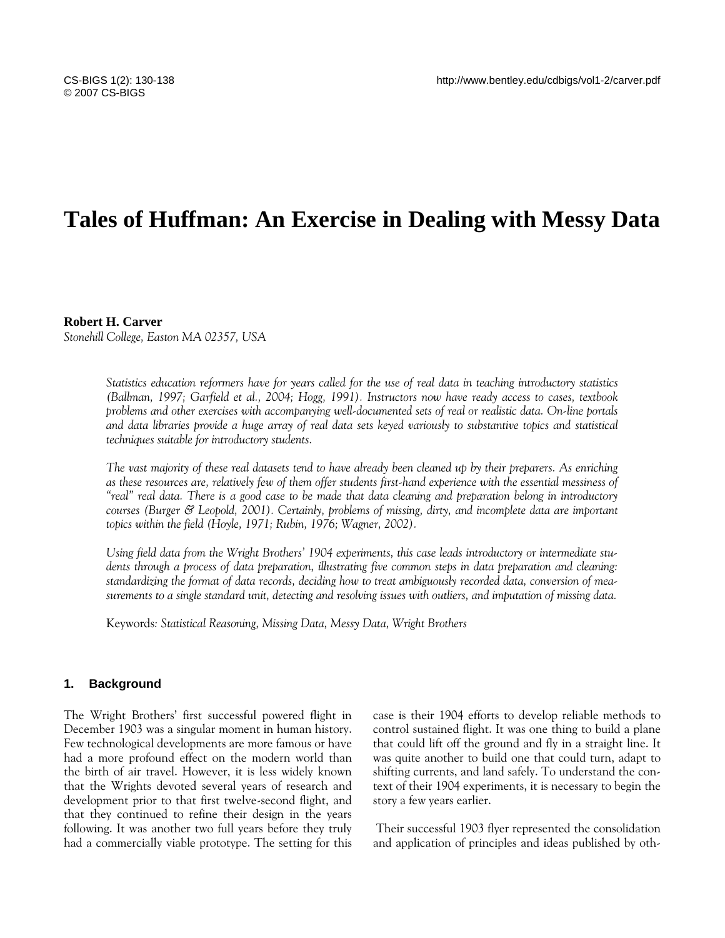# **Tales of Huffman: An Exercise in Dealing with Messy Data**

#### **Robert H. Carver**

*Stonehill College, Easton MA 02357, USA* 

*Statistics education reformers have for years called for the use of real data in teaching introductory statistics (Ballman, 1997; Garfield et al., 2004; Hogg, 1991). Instructors now have ready access to cases, textbook problems and other exercises with accompanying well-documented sets of real or realistic data. On-line portals and data libraries provide a huge array of real data sets keyed variously to substantive topics and statistical techniques suitable for introductory students.* 

*The vast majority of these real datasets tend to have already been cleaned up by their preparers. As enriching as these resources are, relatively few of them offer students first-hand experience with the essential messiness of "real" real data. There is a good case to be made that data cleaning and preparation belong in introductory courses (Burger & Leopold, 2001). Certainly, problems of missing, dirty, and incomplete data are important topics within the field (Hoyle, 1971; Rubin, 1976; Wagner, 2002).* 

*Using field data from the Wright Brothers' 1904 experiments, this case leads introductory or intermediate students through a process of data preparation, illustrating five common steps in data preparation and cleaning: standardizing the format of data records, deciding how to treat ambiguously recorded data, conversion of measurements to a single standard unit, detecting and resolving issues with outliers, and imputation of missing data.* 

Keywords*: Statistical Reasoning, Missing Data, Messy Data, Wright Brothers* 

## **1. Background**

The Wright Brothers' first successful powered flight in December 1903 was a singular moment in human history. Few technological developments are more famous or have had a more profound effect on the modern world than the birth of air travel. However, it is less widely known that the Wrights devoted several years of research and development prior to that first twelve-second flight, and that they continued to refine their design in the years following. It was another two full years before they truly had a commercially viable prototype. The setting for this case is their 1904 efforts to develop reliable methods to control sustained flight. It was one thing to build a plane that could lift off the ground and fly in a straight line. It was quite another to build one that could turn, adapt to shifting currents, and land safely. To understand the context of their 1904 experiments, it is necessary to begin the story a few years earlier.

 Their successful 1903 flyer represented the consolidation and application of principles and ideas published by oth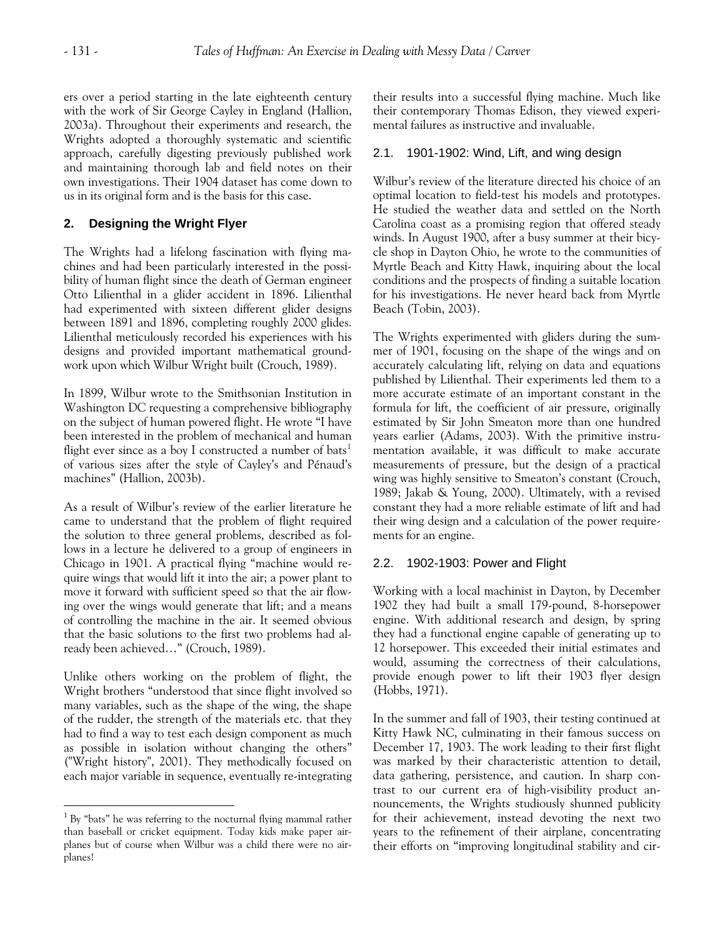ers over a period starting in the late eighteenth century with the work of Sir George Cayley in England (Hallion, 2003a). Throughout their experiments and research, the Wrights adopted a thoroughly systematic and scientific approach, carefully digesting previously published work and maintaining thorough lab and field notes on their own investigations. Their 1904 dataset has come down to us in its original form and is the basis for this case.

## **2. Designing the Wright Flyer**

The Wrights had a lifelong fascination with flying machines and had been particularly interested in the possibility of human flight since the death of German engineer Otto Lilienthal in a glider accident in 1896. Lilienthal had experimented with sixteen different glider designs between 1891 and 1896, completing roughly 2000 glides. Lilienthal meticulously recorded his experiences with his designs and provided important mathematical groundwork upon which Wilbur Wright built (Crouch, 1989).

In 1899, Wilbur wrote to the Smithsonian Institution in Washington DC requesting a comprehensive bibliography on the subject of human powered flight. He wrote "I have been interested in the problem of mechanical and human flight ever since as a boy I constructed a number of bats<sup>1</sup> of various sizes after the style of Cayley's and Pénaud's machines" (Hallion, 2003b).

As a result of Wilbur's review of the earlier literature he came to understand that the problem of flight required the solution to three general problems, described as follows in a lecture he delivered to a group of engineers in Chicago in 1901. A practical flying "machine would require wings that would lift it into the air; a power plant to move it forward with sufficient speed so that the air flowing over the wings would generate that lift; and a means of controlling the machine in the air. It seemed obvious that the basic solutions to the first two problems had already been achieved…" (Crouch, 1989).

Unlike others working on the problem of flight, the Wright brothers "understood that since flight involved so many variables, such as the shape of the wing, the shape of the rudder, the strength of the materials etc. that they had to find a way to test each design component as much as possible in isolation without changing the others" ("Wright history", 2001). They methodically focused on each major variable in sequence, eventually re-integrating

 $\overline{a}$ 

their results into a successful flying machine. Much like their contemporary Thomas Edison, they viewed experimental failures as instructive and invaluable.

## 2.1. 1901-1902: Wind, Lift, and wing design

Wilbur's review of the literature directed his choice of an optimal location to field-test his models and prototypes. He studied the weather data and settled on the North Carolina coast as a promising region that offered steady winds. In August 1900, after a busy summer at their bicycle shop in Dayton Ohio, he wrote to the communities of Myrtle Beach and Kitty Hawk, inquiring about the local conditions and the prospects of finding a suitable location for his investigations. He never heard back from Myrtle Beach (Tobin, 2003).

The Wrights experimented with gliders during the summer of 1901, focusing on the shape of the wings and on accurately calculating lift, relying on data and equations published by Lilienthal. Their experiments led them to a more accurate estimate of an important constant in the formula for lift, the coefficient of air pressure, originally estimated by Sir John Smeaton more than one hundred years earlier (Adams, 2003). With the primitive instrumentation available, it was difficult to make accurate measurements of pressure, but the design of a practical wing was highly sensitive to Smeaton's constant (Crouch, 1989; Jakab & Young, 2000). Ultimately, with a revised constant they had a more reliable estimate of lift and had their wing design and a calculation of the power requirements for an engine.

## 2.2. 1902-1903: Power and Flight

Working with a local machinist in Dayton, by December 1902 they had built a small 179-pound, 8-horsepower engine. With additional research and design, by spring they had a functional engine capable of generating up to 12 horsepower. This exceeded their initial estimates and would, assuming the correctness of their calculations, provide enough power to lift their 1903 flyer design (Hobbs, 1971).

In the summer and fall of 1903, their testing continued at Kitty Hawk NC, culminating in their famous success on December 17, 1903. The work leading to their first flight was marked by their characteristic attention to detail, data gathering, persistence, and caution. In sharp contrast to our current era of high-visibility product announcements, the Wrights studiously shunned publicity for their achievement, instead devoting the next two years to the refinement of their airplane, concentrating their efforts on "improving longitudinal stability and cir-

<span id="page-1-0"></span> $1$  By "bats" he was referring to the nocturnal flying mammal rather than baseball or cricket equipment. Today kids make paper airplanes but of course when Wilbur was a child there were no airplanes!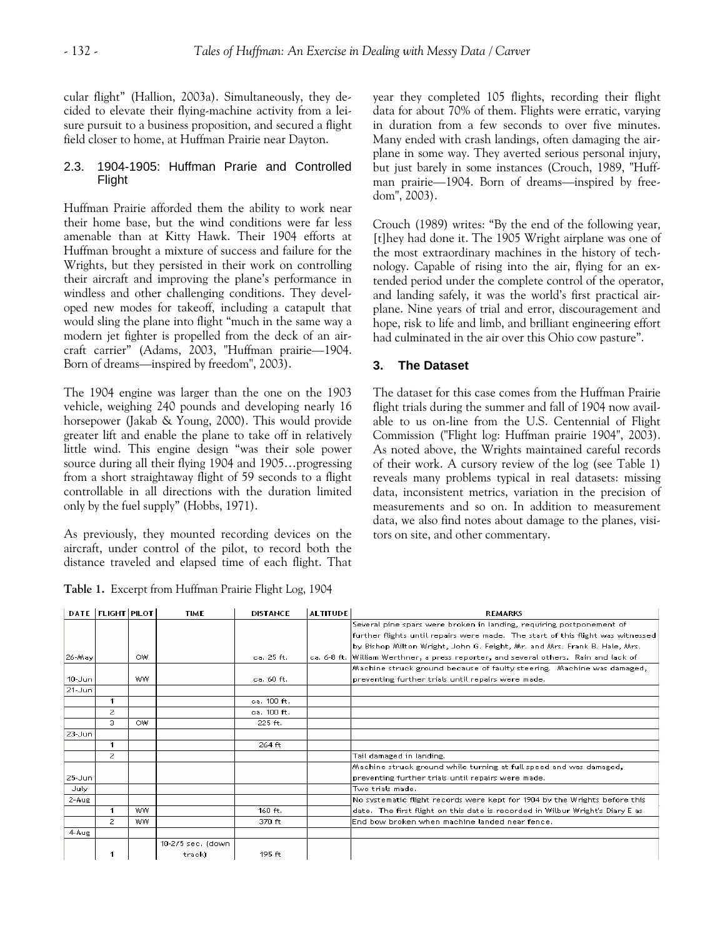cular flight" (Hallion, 2003a). Simultaneously, they decided to elevate their flying-machine activity from a leisure pursuit to a business proposition, and secured a flight field closer to home, at Huffman Prairie near Dayton.

## 2.3. 1904-1905: Huffman Prarie and Controlled Flight

Huffman Prairie afforded them the ability to work near their home base, but the wind conditions were far less amenable than at Kitty Hawk. Their 1904 efforts at Huffman brought a mixture of success and failure for the Wrights, but they persisted in their work on controlling their aircraft and improving the plane's performance in windless and other challenging conditions. They developed new modes for takeoff, including a catapult that would sling the plane into flight "much in the same way a modern jet fighter is propelled from the deck of an aircraft carrier" (Adams, 2003, "Huffman prairie—1904. Born of dreams—inspired by freedom", 2003).

The 1904 engine was larger than the one on the 1903 vehicle, weighing 240 pounds and developing nearly 16 horsepower (Jakab & Young, 2000). This would provide greater lift and enable the plane to take off in relatively little wind. This engine design "was their sole power source during all their flying 1904 and 1905…progressing from a short straightaway flight of 59 seconds to a flight controllable in all directions with the duration limited only by the fuel supply" (Hobbs, 1971).

As previously, they mounted recording devices on the aircraft, under control of the pilot, to record both the distance traveled and elapsed time of each flight. That

**Table 1.** Excerpt from Huffman Prairie Flight Log, 1904

year they completed 105 flights, recording their flight data for about 70% of them. Flights were erratic, varying in duration from a few seconds to over five minutes. Many ended with crash landings, often damaging the airplane in some way. They averted serious personal injury, but just barely in some instances (Crouch, 1989, "Huffman prairie—1904. Born of dreams—inspired by freedom", 2003).

Crouch (1989) writes: "By the end of the following year, [t]hey had done it. The 1905 Wright airplane was one of the most extraordinary machines in the history of technology. Capable of rising into the air, flying for an extended period under the complete control of the operator, and landing safely, it was the world's first practical airplane. Nine years of trial and error, discouragement and hope, risk to life and limb, and brilliant engineering effort had culminated in the air over this Ohio cow pasture".

# **3. The Dataset**

The dataset for this case comes from the Huffman Prairie flight trials during the summer and fall of 1904 now available to us on-line from the U.S. Centennial of Flight Commission ("Flight log: Huffman prairie 1904", 2003). As noted above, the Wrights maintained careful records of their work. A cursory review of the log (see Table 1) reveals many problems typical in real datasets: missing data, inconsistent metrics, variation in the precision of measurements and so on. In addition to measurement data, we also find notes about damage to the planes, visitors on site, and other commentary.

|            | <b>DATE   FLIGHT   PILOT  </b> |     | <b>TIME</b>       | <b>DISTANCE</b> | <b>ALTITUDE</b> | <b>REMARKS</b>                                                                       |
|------------|--------------------------------|-----|-------------------|-----------------|-----------------|--------------------------------------------------------------------------------------|
|            |                                |     |                   |                 |                 | Several pine spars were broken in landing, requiring postponement of                 |
|            |                                |     |                   |                 |                 | further flights until repairs were made. The start of this flight was witnessed      |
|            |                                |     |                   |                 |                 | by Bishop Milton Wright, John G. Feight, Mr. and Mrs. Frank B. Hale, Mrs.            |
| 26-May     |                                | OW  |                   | ca. 25 ft.      |                 | ca, 6-8 ft, William Werthner, a press reporter, and several others. Rain and lack of |
|            |                                |     |                   |                 |                 | Machine struck ground because of faulty steering. Machine was damaged,               |
| $10 - Jun$ |                                | ww. |                   | ca. 60 ft.      |                 | preventing further trials until repairs were made.                                   |
| $21 - Jun$ |                                |     |                   |                 |                 |                                                                                      |
|            | 1                              |     |                   | ca. 100 ft.     |                 |                                                                                      |
|            | $\overline{2}$                 |     |                   | ca. 100 ft.     |                 |                                                                                      |
|            | 3.                             | OW  |                   | $225$ ft.       |                 |                                                                                      |
| $23 - Jun$ |                                |     |                   |                 |                 |                                                                                      |
|            | $\mathbf{1}$                   |     |                   | $264$ ft        |                 |                                                                                      |
|            | $\overline{2}$                 |     |                   |                 |                 | Tail damaged in landing.                                                             |
|            |                                |     |                   |                 |                 | Machine struck ground while turning at full speed and was damaged,                   |
| $25 - Jun$ |                                |     |                   |                 |                 | preventing further trials until repairs were made.                                   |
| July       |                                |     |                   |                 |                 | Two trials made.                                                                     |
| $2 - A$ ug |                                |     |                   |                 |                 | No systematic flight records were kept for 1904 by the Wrights before this           |
|            | 1                              | ww. |                   | $160$ ft.       |                 | date. The first flight on this date is recorded in Wilbur Wright's Diary E as        |
|            | $\overline{2}$                 | ww. |                   | $370$ ft        |                 | End bow broken when machine landed near fence.                                       |
| $4$ -Aug   |                                |     |                   |                 |                 |                                                                                      |
|            |                                |     | 10-2/5 sec. (down |                 |                 |                                                                                      |
|            |                                |     | track)            | 195 $ft$        |                 |                                                                                      |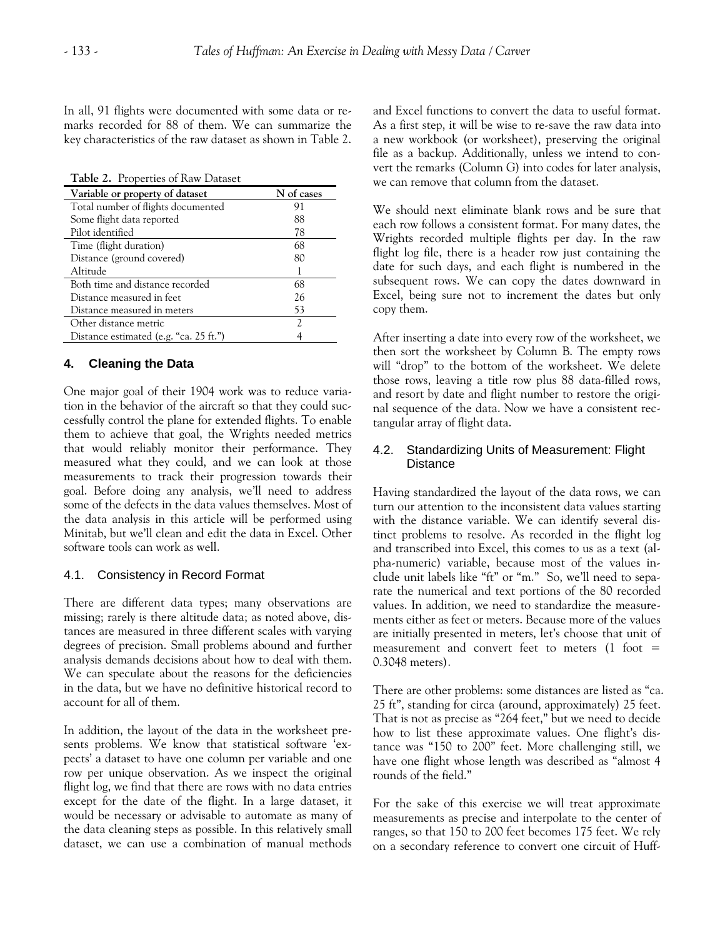In all, 91 flights were documented with some data or remarks recorded for 88 of them. We can summarize the key characteristics of the raw dataset as shown in Table 2.

**Table 2.** Properties of Raw Dataset

| Variable or property of dataset        | N of cases |
|----------------------------------------|------------|
| Total number of flights documented     | 91         |
| Some flight data reported              | 88         |
| Pilot identified                       | 78         |
| Time (flight duration)                 | 68         |
| Distance (ground covered)              | 80         |
| Altitude                               |            |
| Both time and distance recorded        | 68         |
| Distance measured in feet              | 26         |
| Distance measured in meters            | 53         |
| Other distance metric                  | 7          |
| Distance estimated (e.g. "ca. 25 ft.") |            |

## **4. Cleaning the Data**

One major goal of their 1904 work was to reduce variation in the behavior of the aircraft so that they could successfully control the plane for extended flights. To enable them to achieve that goal, the Wrights needed metrics that would reliably monitor their performance. They measured what they could, and we can look at those measurements to track their progression towards their goal. Before doing any analysis, we'll need to address some of the defects in the data values themselves. Most of the data analysis in this article will be performed using Minitab, but we'll clean and edit the data in Excel. Other software tools can work as well.

#### 4.1. Consistency in Record Format

There are different data types; many observations are missing; rarely is there altitude data; as noted above, distances are measured in three different scales with varying degrees of precision. Small problems abound and further analysis demands decisions about how to deal with them. We can speculate about the reasons for the deficiencies in the data, but we have no definitive historical record to account for all of them.

In addition, the layout of the data in the worksheet presents problems. We know that statistical software 'expects' a dataset to have one column per variable and one row per unique observation. As we inspect the original flight log, we find that there are rows with no data entries except for the date of the flight. In a large dataset, it would be necessary or advisable to automate as many of the data cleaning steps as possible. In this relatively small dataset, we can use a combination of manual methods

and Excel functions to convert the data to useful format. As a first step, it will be wise to re-save the raw data into a new workbook (or worksheet), preserving the original file as a backup. Additionally, unless we intend to convert the remarks (Column G) into codes for later analysis, we can remove that column from the dataset.

We should next eliminate blank rows and be sure that each row follows a consistent format. For many dates, the Wrights recorded multiple flights per day. In the raw flight log file, there is a header row just containing the date for such days, and each flight is numbered in the subsequent rows. We can copy the dates downward in Excel, being sure not to increment the dates but only copy them.

After inserting a date into every row of the worksheet, we then sort the worksheet by Column B. The empty rows will "drop" to the bottom of the worksheet. We delete those rows, leaving a title row plus 88 data-filled rows, and resort by date and flight number to restore the original sequence of the data. Now we have a consistent rectangular array of flight data.

#### 4.2. Standardizing Units of Measurement: Flight **Distance**

Having standardized the layout of the data rows, we can turn our attention to the inconsistent data values starting with the distance variable. We can identify several distinct problems to resolve. As recorded in the flight log and transcribed into Excel, this comes to us as a text (alpha-numeric) variable, because most of the values include unit labels like "ft" or "m." So, we'll need to separate the numerical and text portions of the 80 recorded values. In addition, we need to standardize the measurements either as feet or meters. Because more of the values are initially presented in meters, let's choose that unit of measurement and convert feet to meters  $(1)$  foot = 0.3048 meters).

There are other problems: some distances are listed as "ca. 25 ft", standing for circa (around, approximately) 25 feet. That is not as precise as "264 feet," but we need to decide how to list these approximate values. One flight's distance was "150 to 200" feet. More challenging still, we have one flight whose length was described as "almost 4 rounds of the field."

For the sake of this exercise we will treat approximate measurements as precise and interpolate to the center of ranges, so that 150 to 200 feet becomes 175 feet. We rely on a secondary reference to convert one circuit of Huff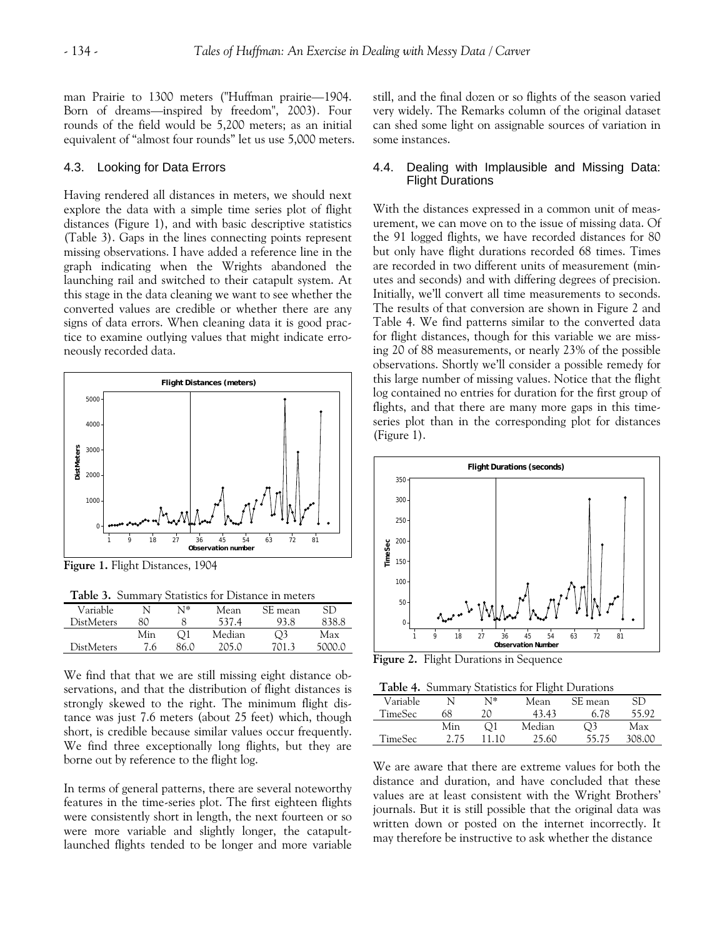man Prairie to 1300 meters ("Huffman prairie—1904. Born of dreams—inspired by freedom", 2003). Four rounds of the field would be 5,200 meters; as an initial equivalent of "almost four rounds" let us use 5,000 meters.

#### 4.3. Looking for Data Errors

Having rendered all distances in meters, we should next explore the data with a simple time series plot of flight distances (Figure 1), and with basic descriptive statistics (Table 3). Gaps in the lines connecting points represent missing observations. I have added a reference line in the graph indicating when the Wrights abandoned the launching rail and switched to their catapult system. At this stage in the data cleaning we want to see whether the converted values are credible or whether there are any signs of data errors. When cleaning data it is good practice to examine outlying values that might indicate erroneously recorded data.



**Figure 1.** Flight Distances, 1904

**Table 3.** Summary Statistics for Distance in meters

| Variable          |     | N1*  | Mean   | SE mean        |          |
|-------------------|-----|------|--------|----------------|----------|
| <b>DistMeters</b> | 80  |      | 537.4  | 93.8           | 838.8    |
|                   | Min |      | Median | $\mathcal{O}3$ | Max      |
| <b>DistMeters</b> | 7.6 | 86 N | 205 O  | 7013           | . snnn n |

We find that that we are still missing eight distance observations, and that the distribution of flight distances is strongly skewed to the right. The minimum flight distance was just 7.6 meters (about 25 feet) which, though short, is credible because similar values occur frequently. We find three exceptionally long flights, but they are borne out by reference to the flight log.

In terms of general patterns, there are several noteworthy features in the time-series plot. The first eighteen flights were consistently short in length, the next fourteen or so were more variable and slightly longer, the catapultlaunched flights tended to be longer and more variable still, and the final dozen or so flights of the season varied very widely. The Remarks column of the original dataset can shed some light on assignable sources of variation in some instances.

#### 4.4. Dealing with Implausible and Missing Data: Flight Durations

With the distances expressed in a common unit of measurement, we can move on to the issue of missing data. Of the 91 logged flights, we have recorded distances for 80 but only have flight durations recorded 68 times. Times are recorded in two different units of measurement (minutes and seconds) and with differing degrees of precision. Initially, we'll convert all time measurements to seconds. The results of that conversion are shown in Figure 2 and Table 4. We find patterns similar to the converted data for flight distances, though for this variable we are missing 20 of 88 measurements, or nearly 23% of the possible observations. Shortly we'll consider a possible remedy for this large number of missing values. Notice that the flight log contained no entries for duration for the first group of flights, and that there are many more gaps in this timeseries plot than in the corresponding plot for distances (Figure 1).



**Figure 2.** Flight Durations in Sequence

**Table 4.** Summary Statistics for Flight Durations

|                |      |       | . .    |         |        |  |
|----------------|------|-------|--------|---------|--------|--|
| Variable       |      | N*    | Mean   | SE mean | SD     |  |
| TimeSec        | 68   | 20    | 43.43  | 6.78    | 55.92  |  |
|                | Min  | ้ ) 1 | Median |         | Max    |  |
| <b>TimeSec</b> | 2.75 |       | 25.60  | 55.75   | 308.00 |  |

We are aware that there are extreme values for both the distance and duration, and have concluded that these values are at least consistent with the Wright Brothers' journals. But it is still possible that the original data was written down or posted on the internet incorrectly. It may therefore be instructive to ask whether the distance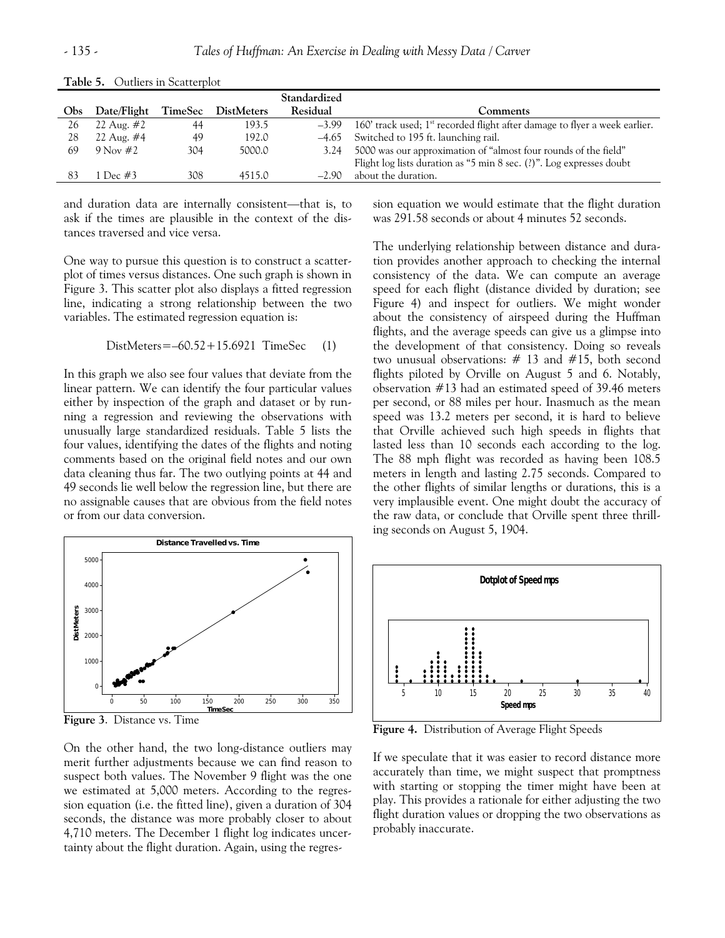|     |              |         |                   | Standardized |                                                                              |
|-----|--------------|---------|-------------------|--------------|------------------------------------------------------------------------------|
| Obs | Date/Flight  | TimeSec | <b>DistMeters</b> | Residual     | Comments                                                                     |
| 26  | 22 Aug. $#2$ | 44      | 193.5             | $-3.99$      | 160' track used; $1st$ recorded flight after damage to flyer a week earlier. |
| 28  | 22 Aug. $#4$ | 49      | 192.0             |              | $-4.65$ Switched to 195 ft. launching rail.                                  |
| 69  | 9 Nov $#2$   | 304     | 5000.0            | 3.24         | 5000 was our approximation of "almost four rounds of the field"              |
|     |              |         |                   |              | Flight log lists duration as "5 min 8 sec. (?)". Log expresses doubt         |
| 83  | 1 Dec #3     | 308     | 4515.0            | $-2.90$      | about the duration.                                                          |

**Table 5.** Outliers in Scatterplot

and duration data are internally consistent—that is, to ask if the times are plausible in the context of the distances traversed and vice versa.

One way to pursue this question is to construct a scatterplot of times versus distances. One such graph is shown in Figure 3. This scatter plot also displays a fitted regression line, indicating a strong relationship between the two variables. The estimated regression equation is:

$$
DistMeters = -60.52 + 15.6921
$$
 
$$
TimeSec \qquad (1)
$$

In this graph we also see four values that deviate from the linear pattern. We can identify the four particular values either by inspection of the graph and dataset or by running a regression and reviewing the observations with unusually large standardized residuals. Table 5 lists the four values, identifying the dates of the flights and noting comments based on the original field notes and our own data cleaning thus far. The two outlying points at 44 and 49 seconds lie well below the regression line, but there are no assignable causes that are obvious from the field notes or from our data conversion.



**Figure 3**. Distance vs. Time

On the other hand, the two long-distance outliers may merit further adjustments because we can find reason to suspect both values. The November 9 flight was the one we estimated at 5,000 meters. According to the regression equation (i.e. the fitted line), given a duration of 304 seconds, the distance was more probably closer to about 4,710 meters. The December 1 flight log indicates uncertainty about the flight duration. Again, using the regression equation we would estimate that the flight duration was 291.58 seconds or about 4 minutes 52 seconds.

The underlying relationship between distance and duration provides another approach to checking the internal consistency of the data. We can compute an average speed for each flight (distance divided by duration; see Figure 4) and inspect for outliers. We might wonder about the consistency of airspeed during the Huffman flights, and the average speeds can give us a glimpse into the development of that consistency. Doing so reveals two unusual observations: # 13 and #15, both second flights piloted by Orville on August 5 and 6. Notably, observation #13 had an estimated speed of 39.46 meters per second, or 88 miles per hour. Inasmuch as the mean speed was 13.2 meters per second, it is hard to believe that Orville achieved such high speeds in flights that lasted less than 10 seconds each according to the log. The 88 mph flight was recorded as having been 108.5 meters in length and lasting 2.75 seconds. Compared to the other flights of similar lengths or durations, this is a very implausible event. One might doubt the accuracy of the raw data, or conclude that Orville spent three thrilling seconds on August 5, 1904.



**Figure 4.** Distribution of Average Flight Speeds

If we speculate that it was easier to record distance more accurately than time, we might suspect that promptness with starting or stopping the timer might have been at play. This provides a rationale for either adjusting the two flight duration values or dropping the two observations as probably inaccurate.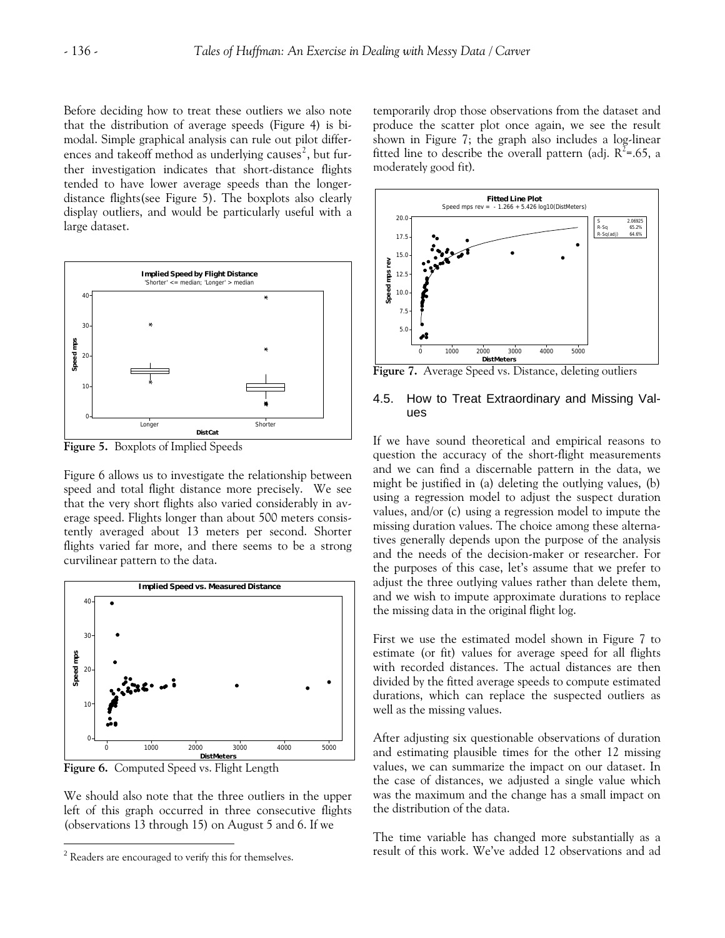Before deciding how to treat these outliers we also note that the distribution of average speeds (Figure 4) is bimodal. Simple graphical analysis can rule out pilot differences and takeoff method as underlying causes $^2$  $^2$ , but further investigation indicates that short-distance flights tended to have lower average speeds than the longerdistance flights(see Figure 5). The boxplots also clearly display outliers, and would be particularly useful with a large dataset.



**Figure 5.** Boxplots of Implied Speeds

Figure 6 allows us to investigate the relationship between speed and total flight distance more precisely. We see that the very short flights also varied considerably in average speed. Flights longer than about 500 meters consistently averaged about 13 meters per second. Shorter flights varied far more, and there seems to be a strong curvilinear pattern to the data.



**Figure 6.** Computed Speed vs. Flight Length

We should also note that the three outliers in the upper left of this graph occurred in three consecutive flights (observations 13 through 15) on August 5 and 6. If we

 $\overline{a}$ 

temporarily drop those observations from the dataset and produce the scatter plot once again, we see the result shown in Figure 7; the graph also includes a log-linear fitted line to describe the overall pattern (adj.  $R^2$ =.65, a moderately good fit).



**Figure 7.** Average Speed vs. Distance, deleting outliers

#### 4.5. How to Treat Extraordinary and Missing Values

If we have sound theoretical and empirical reasons to question the accuracy of the short-flight measurements and we can find a discernable pattern in the data, we might be justified in (a) deleting the outlying values, (b) using a regression model to adjust the suspect duration values, and/or (c) using a regression model to impute the missing duration values. The choice among these alternatives generally depends upon the purpose of the analysis and the needs of the decision-maker or researcher. For the purposes of this case, let's assume that we prefer to adjust the three outlying values rather than delete them, and we wish to impute approximate durations to replace the missing data in the original flight log.

First we use the estimated model shown in Figure 7 to estimate (or fit) values for average speed for all flights with recorded distances. The actual distances are then divided by the fitted average speeds to compute estimated durations, which can replace the suspected outliers as well as the missing values.

After adjusting six questionable observations of duration and estimating plausible times for the other 12 missing values, we can summarize the impact on our dataset. In the case of distances, we adjusted a single value which was the maximum and the change has a small impact on the distribution of the data.

The time variable has changed more substantially as a result of this work. We've added 12 observations and ad

<span id="page-6-0"></span><sup>&</sup>lt;sup>2</sup> Readers are encouraged to verify this for themselves.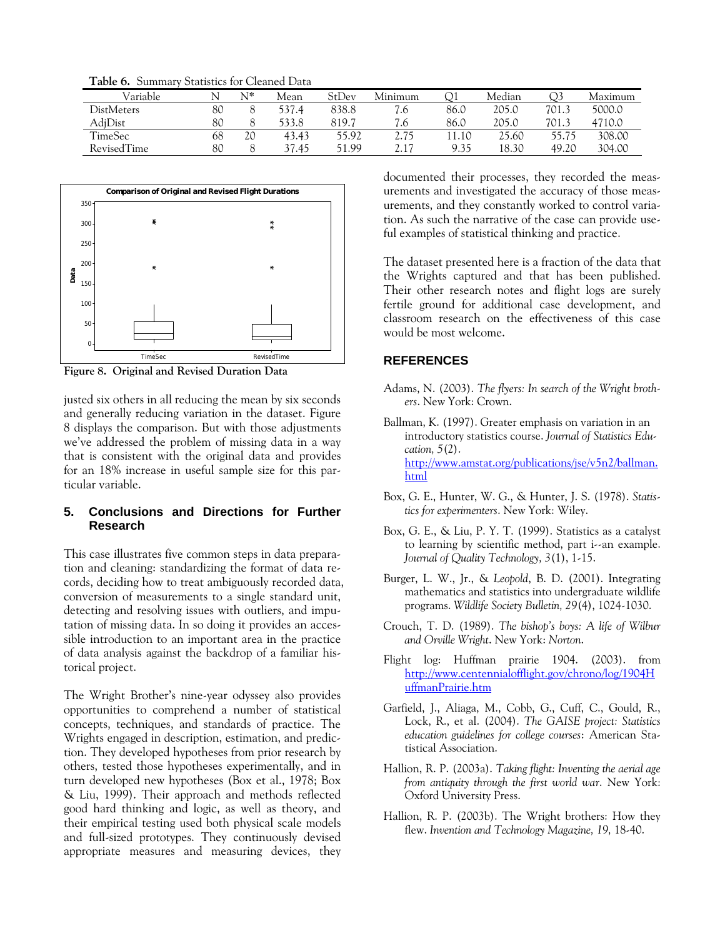**Table 6.** Summary Statistics for Cleaned Data

| Variable          |    | $N^*$ | Mean  | StDev | Minimum |       | Median |       | Maximum |
|-------------------|----|-------|-------|-------|---------|-------|--------|-------|---------|
| <b>DistMeters</b> | 80 |       | 537.4 | 838.8 | 7.6     | 86.0  | 205.0  | 701.3 | 5000.0  |
| AdjDist           | 80 |       | 533.8 | 819.7 | 7.6     | 86.0  | 205.0  | 701.3 | 4710.0  |
| TimeSec           | 68 | 20    | 43.43 | 55.92 | 2.75    | 11.10 | 25.60  | 55.75 | 308.00  |
| RevisedTime       | 80 |       | 37.45 | 51.99 | 2.17    | 9.35  | 18.30  | 49.20 | 304.00  |



**Figure 8. Original and Revised Duration Data** 

justed six others in all reducing the mean by six seconds and generally reducing variation in the dataset. Figure 8 displays the comparison. But with those adjustments we've addressed the problem of missing data in a way that is consistent with the original data and provides for an 18% increase in useful sample size for this particular variable.

## **5. Conclusions and Directions for Further Research**

This case illustrates five common steps in data preparation and cleaning: standardizing the format of data records, deciding how to treat ambiguously recorded data, conversion of measurements to a single standard unit, detecting and resolving issues with outliers, and imputation of missing data. In so doing it provides an accessible introduction to an important area in the practice of data analysis against the backdrop of a familiar historical project.

The Wright Brother's nine-year odyssey also provides opportunities to comprehend a number of statistical concepts, techniques, and standards of practice. The Wrights engaged in description, estimation, and prediction. They developed hypotheses from prior research by others, tested those hypotheses experimentally, and in turn developed new hypotheses (Box et al., 1978; Box & Liu, 1999). Their approach and methods reflected good hard thinking and logic, as well as theory, and their empirical testing used both physical scale models and full-sized prototypes. They continuously devised appropriate measures and measuring devices, they documented their processes, they recorded the measurements and investigated the accuracy of those measurements, and they constantly worked to control variation. As such the narrative of the case can provide useful examples of statistical thinking and practice.

The dataset presented here is a fraction of the data that the Wrights captured and that has been published. Their other research notes and flight logs are surely fertile ground for additional case development, and classroom research on the effectiveness of this case would be most welcome.

### **REFERENCES**

- Adams, N. (2003). *The flyers: In search of the Wright brothers*. New York: Crown.
- Ballman, K. (1997). Greater emphasis on variation in an introductory statistics course. *Journal of Statistics Education, 5*(2). [http://www.amstat.org/publications/jse/v5n2/ballman.](http://www.amstat.org/publications/jse/v5n2/ballman.html) [html](http://www.amstat.org/publications/jse/v5n2/ballman.html)
- Box, G. E., Hunter, W. G., & Hunter, J. S. (1978). *Statistics for experimenters*. New York: Wiley.
- Box, G. E., & Liu, P. Y. T. (1999). Statistics as a catalyst to learning by scientific method, part i--an example. *Journal of Quality Technology, 3*(1), 1-15.
- Burger, L. W., Jr., & *Leopold*, B. D. (2001). Integrating mathematics and statistics into undergraduate wildlife programs. *Wildlife Society Bulletin, 29*(4), 1024-1030.
- Crouch, T. D. (1989). *The bishop's boys: A life of Wilbur and Orville Wright*. New York: *Norton*.
- Flight log: Huffman prairie 1904. (2003). from [http://www.centennialofflight.gov/chrono/log/1904H](http://www.centennialofflight.gov/chrono/log/1904HuffmanPrairie.htm) [uffmanPrairie.htm](http://www.centennialofflight.gov/chrono/log/1904HuffmanPrairie.htm)
- Garfield, J., Aliaga, M., Cobb, G., Cuff, C., Gould, R., Lock, R., et al. (2004). *The GAISE project: Statistics education guidelines for college courses*: American Statistical Association.
- Hallion, R. P. (2003a). *Taking flight: Inventing the aerial age from antiquity through the first world war*. New York: Oxford University Press.
- Hallion, R. P. (2003b). The Wright brothers: How they flew. *Invention and Technology Magazine, 19,* 18-40.